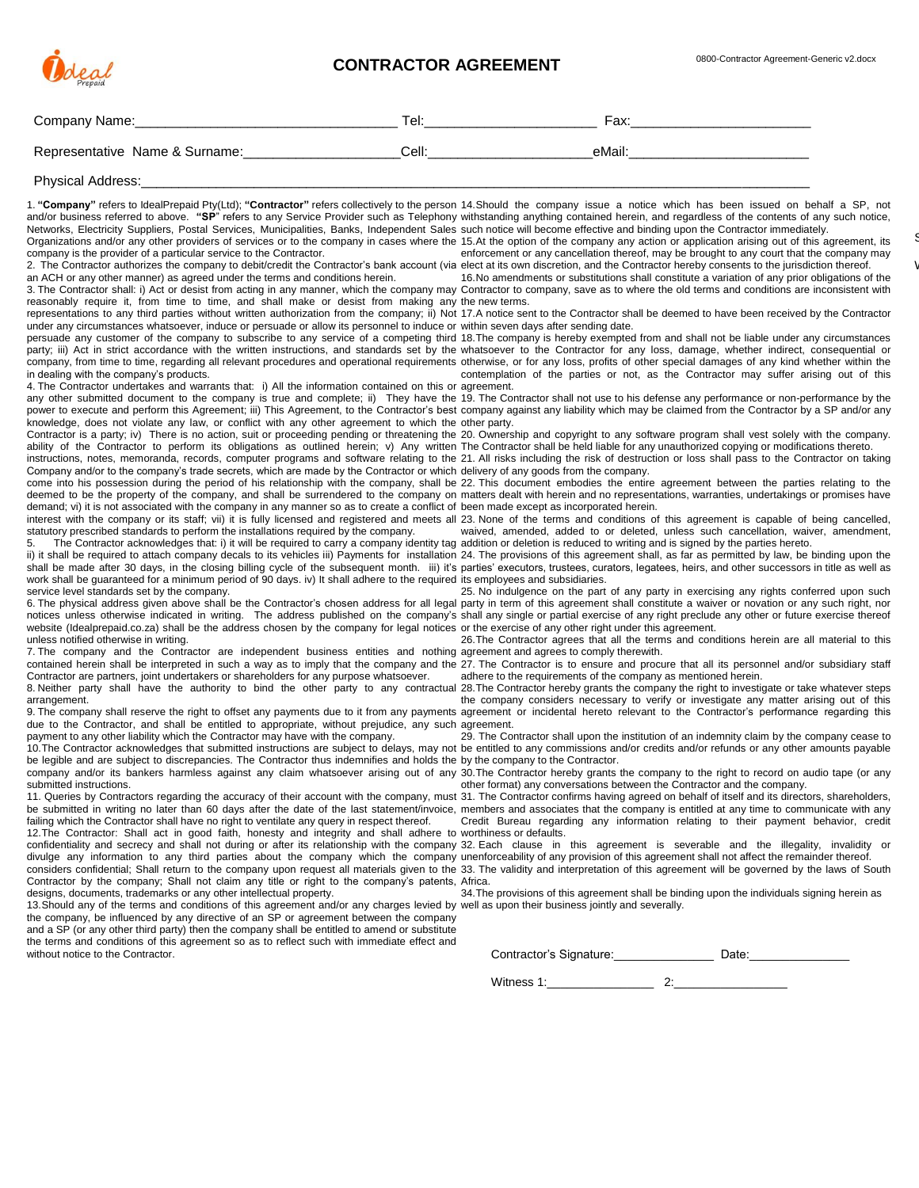

 $\epsilon$ 

 $\backslash$ 

| Company Name:                                                                                                                                                                                                                                                                                                                                                                                                                                                                                                                                                                                                                                                                                                                                                                                                                                                                                                                                                                                                                                                                                                                                                                                                                                                                                                                                                                                                                                                                                                                                                                                                                                                                                                                                                                                                                                                                                                                                                                                                                                                                                                                                                                                                                                                                                                                                                                                                                                                                                                                                                                                                                                                                                                                                                                                                                                                                                                                                                                                                                                                                                                                                                                                                                                                                                                                                                                                                                                                                                                                                                                                                                                                                                                                                                                                                                                                                                                                                                                                                                                                                                                                                                                                                                                                                                                                                                                                                                                                                                                                                                                                                                                                                                                                                                                                                                                                                                                                                                                                                                                                                                                                                                                                                                                                                                                                                                                                                                                                                                                                                                                                                                                                                                                                                                                                                                                                                                                                                                                                                                                                                                                                                                                                                                                                                                                                                                                                                                                                                                                                                                                                                                                                                                                                                                                                                                                                                                                                                                                                                                                                                                                                                                                                                                                                                                                                                                                                                                                                                                                                                                                                                                                                                                                                                                                                                                                                                                                                                                                                                                                                                                                                                                                                                                                                                                                                                                                                                                                                                                                                                                                                                                                                                                                                                                                                                                                                                                                          | Tel:______________________________                                                                                                        |                                                                                                                                                                                                                                                                                                                                                                                                                                                                                                                                                                                                                                                                                                                                                                                                                                                                                                                                                       |
|------------------------------------------------------------------------------------------------------------------------------------------------------------------------------------------------------------------------------------------------------------------------------------------------------------------------------------------------------------------------------------------------------------------------------------------------------------------------------------------------------------------------------------------------------------------------------------------------------------------------------------------------------------------------------------------------------------------------------------------------------------------------------------------------------------------------------------------------------------------------------------------------------------------------------------------------------------------------------------------------------------------------------------------------------------------------------------------------------------------------------------------------------------------------------------------------------------------------------------------------------------------------------------------------------------------------------------------------------------------------------------------------------------------------------------------------------------------------------------------------------------------------------------------------------------------------------------------------------------------------------------------------------------------------------------------------------------------------------------------------------------------------------------------------------------------------------------------------------------------------------------------------------------------------------------------------------------------------------------------------------------------------------------------------------------------------------------------------------------------------------------------------------------------------------------------------------------------------------------------------------------------------------------------------------------------------------------------------------------------------------------------------------------------------------------------------------------------------------------------------------------------------------------------------------------------------------------------------------------------------------------------------------------------------------------------------------------------------------------------------------------------------------------------------------------------------------------------------------------------------------------------------------------------------------------------------------------------------------------------------------------------------------------------------------------------------------------------------------------------------------------------------------------------------------------------------------------------------------------------------------------------------------------------------------------------------------------------------------------------------------------------------------------------------------------------------------------------------------------------------------------------------------------------------------------------------------------------------------------------------------------------------------------------------------------------------------------------------------------------------------------------------------------------------------------------------------------------------------------------------------------------------------------------------------------------------------------------------------------------------------------------------------------------------------------------------------------------------------------------------------------------------------------------------------------------------------------------------------------------------------------------------------------------------------------------------------------------------------------------------------------------------------------------------------------------------------------------------------------------------------------------------------------------------------------------------------------------------------------------------------------------------------------------------------------------------------------------------------------------------------------------------------------------------------------------------------------------------------------------------------------------------------------------------------------------------------------------------------------------------------------------------------------------------------------------------------------------------------------------------------------------------------------------------------------------------------------------------------------------------------------------------------------------------------------------------------------------------------------------------------------------------------------------------------------------------------------------------------------------------------------------------------------------------------------------------------------------------------------------------------------------------------------------------------------------------------------------------------------------------------------------------------------------------------------------------------------------------------------------------------------------------------------------------------------------------------------------------------------------------------------------------------------------------------------------------------------------------------------------------------------------------------------------------------------------------------------------------------------------------------------------------------------------------------------------------------------------------------------------------------------------------------------------------------------------------------------------------------------------------------------------------------------------------------------------------------------------------------------------------------------------------------------------------------------------------------------------------------------------------------------------------------------------------------------------------------------------------------------------------------------------------------------------------------------------------------------------------------------------------------------------------------------------------------------------------------------------------------------------------------------------------------------------------------------------------------------------------------------------------------------------------------------------------------------------------------------------------------------------------------------------------------------------------------------------------------------------------------------------------------------------------------------------------------------------------------------------------------------------------------------------------------------------------------------------------------------------------------------------------------------------------------------------------------------------------------------------------------------------------------------------------------------------------------------------------------------------------------------------------------------------------------------------------------------------------------------------------------------------------------------------------------------------------------------------------------------------------------------------------------------------------------------------------------------------------------------------------------------------------------------------------------------------------------------------------------------------------------------------------------------------------------------------------------------------------------------------------------------------------------------------------------------------------------------------------------------------------------------------------------------------------------------------------------------------------------------------------------------------------------------------------------------------------|-------------------------------------------------------------------------------------------------------------------------------------------|-------------------------------------------------------------------------------------------------------------------------------------------------------------------------------------------------------------------------------------------------------------------------------------------------------------------------------------------------------------------------------------------------------------------------------------------------------------------------------------------------------------------------------------------------------------------------------------------------------------------------------------------------------------------------------------------------------------------------------------------------------------------------------------------------------------------------------------------------------------------------------------------------------------------------------------------------------|
| Representative Name & Surname: ________________________Cell: ___________________                                                                                                                                                                                                                                                                                                                                                                                                                                                                                                                                                                                                                                                                                                                                                                                                                                                                                                                                                                                                                                                                                                                                                                                                                                                                                                                                                                                                                                                                                                                                                                                                                                                                                                                                                                                                                                                                                                                                                                                                                                                                                                                                                                                                                                                                                                                                                                                                                                                                                                                                                                                                                                                                                                                                                                                                                                                                                                                                                                                                                                                                                                                                                                                                                                                                                                                                                                                                                                                                                                                                                                                                                                                                                                                                                                                                                                                                                                                                                                                                                                                                                                                                                                                                                                                                                                                                                                                                                                                                                                                                                                                                                                                                                                                                                                                                                                                                                                                                                                                                                                                                                                                                                                                                                                                                                                                                                                                                                                                                                                                                                                                                                                                                                                                                                                                                                                                                                                                                                                                                                                                                                                                                                                                                                                                                                                                                                                                                                                                                                                                                                                                                                                                                                                                                                                                                                                                                                                                                                                                                                                                                                                                                                                                                                                                                                                                                                                                                                                                                                                                                                                                                                                                                                                                                                                                                                                                                                                                                                                                                                                                                                                                                                                                                                                                                                                                                                                                                                                                                                                                                                                                                                                                                                                                                                                                                                                       |                                                                                                                                           |                                                                                                                                                                                                                                                                                                                                                                                                                                                                                                                                                                                                                                                                                                                                                                                                                                                                                                                                                       |
| Physical Address: Note that the control of the control of the control of the control of the control of the control of the control of the control of the control of the control of the control of the control of the control of                                                                                                                                                                                                                                                                                                                                                                                                                                                                                                                                                                                                                                                                                                                                                                                                                                                                                                                                                                                                                                                                                                                                                                                                                                                                                                                                                                                                                                                                                                                                                                                                                                                                                                                                                                                                                                                                                                                                                                                                                                                                                                                                                                                                                                                                                                                                                                                                                                                                                                                                                                                                                                                                                                                                                                                                                                                                                                                                                                                                                                                                                                                                                                                                                                                                                                                                                                                                                                                                                                                                                                                                                                                                                                                                                                                                                                                                                                                                                                                                                                                                                                                                                                                                                                                                                                                                                                                                                                                                                                                                                                                                                                                                                                                                                                                                                                                                                                                                                                                                                                                                                                                                                                                                                                                                                                                                                                                                                                                                                                                                                                                                                                                                                                                                                                                                                                                                                                                                                                                                                                                                                                                                                                                                                                                                                                                                                                                                                                                                                                                                                                                                                                                                                                                                                                                                                                                                                                                                                                                                                                                                                                                                                                                                                                                                                                                                                                                                                                                                                                                                                                                                                                                                                                                                                                                                                                                                                                                                                                                                                                                                                                                                                                                                                                                                                                                                                                                                                                                                                                                                                                                                                                                                                         |                                                                                                                                           |                                                                                                                                                                                                                                                                                                                                                                                                                                                                                                                                                                                                                                                                                                                                                                                                                                                                                                                                                       |
| 1. "Company" refers to IdealPrepaid Pty(Ltd); "Contractor" refers collectively to the person 14. Should the company issue a notice which has been issued on behalf a SP, not<br>and/or business referred to above. "SP" refers to any Service Provider such as Telephony withstanding anything contained herein, and regardless of the contents of any such notice,<br>Networks, Electricity Suppliers, Postal Services, Municipalities, Banks, Independent Sales such notice will become effective and binding upon the Contractor immediately.<br>Organizations and/or any other providers of services or to the company in cases where the 15.At the option of the company any action or application arising out of this agreement, its<br>company is the provider of a particular service to the Contractor.<br>2. The Contractor authorizes the company to debit/credit the Contractor's bank account (via elect at its own discretion, and the Contractor hereby consents to the jurisdiction thereof.<br>an ACH or any other manner) as agreed under the terms and conditions herein.<br>3. The Contractor shall: i) Act or desist from acting in any manner, which the company may Contractor to company, save as to where the old terms and conditions are inconsistent with<br>reasonably require it, from time to time, and shall make or desist from making any the new terms.<br>representations to any third parties without written authorization from the company; ii) Not 17.A notice sent to the Contractor shall be deemed to have been received by the Contractor<br>under any circumstances whatsoever, induce or persuade or allow its personnel to induce or within seven days after sending date.<br>persuade any customer of the company to subscribe to any service of a competing third 18. The company is hereby exempted from and shall not be liable under any circumstances<br>party; iii) Act in strict accordance with the written instructions, and standards set by the whatsoever to the Contractor for any loss, damage, whether indirect, consequential or<br>company, from time to time, regarding all relevant procedures and operational requirements otherwise, or for any loss, profits of other special damages of any kind whether within the<br>in dealing with the company's products.<br>4. The Contractor undertakes and warrants that: i) All the information contained on this or agreement.<br>any other submitted document to the company is true and complete; ii) They have the 19. The Contractor shall not use to his defense any performance or non-performance by the<br>power to execute and perform this Agreement; iii) This Agreement, to the Contractor's best company against any liability which may be claimed from the Contractor by a SP and/or any<br>knowledge, does not violate any law, or conflict with any other agreement to which the other party.<br>Contractor is a party; iv) There is no action, suit or proceeding pending or threatening the 20. Ownership and copyright to any software program shall vest solely with the company.<br>ability of the Contractor to perform its obligations as outlined herein; v) Any written The Contractor shall be held liable for any unauthorized copying or modifications thereto.<br>instructions, notes, memoranda, records, computer programs and software relating to the 21. All risks including the risk of destruction or loss shall pass to the Contractor on taking<br>Company and/or to the company's trade secrets, which are made by the Contractor or which delivery of any goods from the company.<br>come into his possession during the period of his relationship with the company, shall be 22. This document embodies the entire agreement between the parties relating to the<br>deemed to be the property of the company, and shall be surrendered to the company on matters dealt with herein and no representations, warranties, undertakings or promises have<br>demand; vi) it is not associated with the company in any manner so as to create a conflict of been made except as incorporated herein.<br>interest with the company or its staff; vii) it is fully licensed and registered and meets all 23. None of the terms and conditions of this agreement is capable of being cancelled,<br>statutory prescribed standards to perform the installations required by the company.<br>The Contractor acknowledges that: i) it will be required to carry a company identity tag addition or deletion is reduced to writing and is signed by the parties hereto.<br>5.<br>ii) it shall be required to attach company decals to its vehicles iii) Payments for installation 24. The provisions of this agreement shall, as far as permitted by law, be binding upon the<br>shall be made after 30 days, in the closing billing cycle of the subsequent month. iii) it's parties' executors, trustees, curators, legatees, heirs, and other successors in title as well as<br>work shall be guaranteed for a minimum period of 90 days. iv) It shall adhere to the required its employees and subsidiaries.<br>service level standards set by the company.<br>6. The physical address given above shall be the Contractor's chosen address for all legal party in term of this agreement shall constitute a waiver or novation or any such right, nor<br>notices unless otherwise indicated in writing. The address published on the company's shall any single or partial exercise of any right preclude any other or future exercise thereof<br>website (Idealprepaid.co.za) shall be the address chosen by the company for legal notices or the exercise of any other right under this agreement.<br>unless notified otherwise in writing.<br>7. The company and the Contractor are independent business entities and nothing agreement and agrees to comply therewith.<br>contained herein shall be interpreted in such a way as to imply that the company and the 27. The Contractor is to ensure and procure that all its personnel and/or subsidiary staff<br>Contractor are partners, joint undertakers or shareholders for any purpose whatsoever.<br>8. Neither party shall have the authority to bind the other party to any contractual 28. The Contractor hereby grants the company the right to investigate or take whatever steps<br>arrangement.<br>9. The company shall reserve the right to offset any payments due to it from any payments agreement or incidental hereto relevant to the Contractor's performance regarding this<br>due to the Contractor, and shall be entitled to appropriate, without prejudice, any such agreement.<br>payment to any other liability which the Contractor may have with the company.<br>10. The Contractor acknowledges that submitted instructions are subject to delays, may not be entitled to any commissions and/or credits and/or refunds or any other amounts payable<br>be legible and are subject to discrepancies. The Contractor thus indemnifies and holds the by the company to the Contractor.<br>company and/or its bankers harmless against any claim whatsoever arising out of any 30. The Contractor hereby grants the company to the right to record on audio tape (or any<br>submitted instructions.<br>11. Queries by Contractors regarding the accuracy of their account with the company, must 31. The Contractor confirms having agreed on behalf of itself and its directors, shareholders,<br>be submitted in writing no later than 60 days after the date of the last statement/invoice, members and associates that the company is entitled at any time to communicate with any<br>failing which the Contractor shall have no right to ventilate any query in respect thereof.<br>12. The Contractor: Shall act in good faith, honesty and integrity and shall adhere to worthiness or defaults.<br>confidentiality and secrecy and shall not during or after its relationship with the company 32. Each clause in this agreement is severable and the illegality, invalidity or<br>divulge any information to any third parties about the company which the company unenforceability of any provision of this agreement shall not affect the remainder thereof.<br>considers confidential; Shall return to the company upon request all materials given to the 33. The validity and interpretation of this agreement will be governed by the laws of South<br>Contractor by the company; Shall not claim any title or right to the company's patents, Africa.<br>designs, documents, trademarks or any other intellectual property.<br>13. Should any of the terms and conditions of this agreement and/or any charges levied by well as upon their business jointly and severally.<br>the company, be influenced by any directive of an SP or agreement between the company | adhere to the requirements of the company as mentioned herein.<br>other format) any conversations between the Contractor and the company. | enforcement or any cancellation thereof, may be brought to any court that the company may<br>16. No amendments or substitutions shall constitute a variation of any prior obligations of the<br>contemplation of the parties or not, as the Contractor may suffer arising out of this<br>waived, amended, added to or deleted, unless such cancellation, waiver, amendment,<br>25. No indulgence on the part of any party in exercising any rights conferred upon such<br>26. The Contractor agrees that all the terms and conditions herein are all material to this<br>the company considers necessary to verify or investigate any matter arising out of this<br>29. The Contractor shall upon the institution of an indemnity claim by the company cease to<br>Credit Bureau regarding any information relating to their payment behavior, credit<br>34. The provisions of this agreement shall be binding upon the individuals signing herein as |
| and a SP (or any other third party) then the company shall be entitled to amend or substitute<br>the terms and conditions of this agreement so as to reflect such with immediate effect and<br>without notice to the Contractor.                                                                                                                                                                                                                                                                                                                                                                                                                                                                                                                                                                                                                                                                                                                                                                                                                                                                                                                                                                                                                                                                                                                                                                                                                                                                                                                                                                                                                                                                                                                                                                                                                                                                                                                                                                                                                                                                                                                                                                                                                                                                                                                                                                                                                                                                                                                                                                                                                                                                                                                                                                                                                                                                                                                                                                                                                                                                                                                                                                                                                                                                                                                                                                                                                                                                                                                                                                                                                                                                                                                                                                                                                                                                                                                                                                                                                                                                                                                                                                                                                                                                                                                                                                                                                                                                                                                                                                                                                                                                                                                                                                                                                                                                                                                                                                                                                                                                                                                                                                                                                                                                                                                                                                                                                                                                                                                                                                                                                                                                                                                                                                                                                                                                                                                                                                                                                                                                                                                                                                                                                                                                                                                                                                                                                                                                                                                                                                                                                                                                                                                                                                                                                                                                                                                                                                                                                                                                                                                                                                                                                                                                                                                                                                                                                                                                                                                                                                                                                                                                                                                                                                                                                                                                                                                                                                                                                                                                                                                                                                                                                                                                                                                                                                                                                                                                                                                                                                                                                                                                                                                                                                                                                                                                                       |                                                                                                                                           | Contractor's Signature: Date:                                                                                                                                                                                                                                                                                                                                                                                                                                                                                                                                                                                                                                                                                                                                                                                                                                                                                                                         |
|                                                                                                                                                                                                                                                                                                                                                                                                                                                                                                                                                                                                                                                                                                                                                                                                                                                                                                                                                                                                                                                                                                                                                                                                                                                                                                                                                                                                                                                                                                                                                                                                                                                                                                                                                                                                                                                                                                                                                                                                                                                                                                                                                                                                                                                                                                                                                                                                                                                                                                                                                                                                                                                                                                                                                                                                                                                                                                                                                                                                                                                                                                                                                                                                                                                                                                                                                                                                                                                                                                                                                                                                                                                                                                                                                                                                                                                                                                                                                                                                                                                                                                                                                                                                                                                                                                                                                                                                                                                                                                                                                                                                                                                                                                                                                                                                                                                                                                                                                                                                                                                                                                                                                                                                                                                                                                                                                                                                                                                                                                                                                                                                                                                                                                                                                                                                                                                                                                                                                                                                                                                                                                                                                                                                                                                                                                                                                                                                                                                                                                                                                                                                                                                                                                                                                                                                                                                                                                                                                                                                                                                                                                                                                                                                                                                                                                                                                                                                                                                                                                                                                                                                                                                                                                                                                                                                                                                                                                                                                                                                                                                                                                                                                                                                                                                                                                                                                                                                                                                                                                                                                                                                                                                                                                                                                                                                                                                                                                                        |                                                                                                                                           |                                                                                                                                                                                                                                                                                                                                                                                                                                                                                                                                                                                                                                                                                                                                                                                                                                                                                                                                                       |
|                                                                                                                                                                                                                                                                                                                                                                                                                                                                                                                                                                                                                                                                                                                                                                                                                                                                                                                                                                                                                                                                                                                                                                                                                                                                                                                                                                                                                                                                                                                                                                                                                                                                                                                                                                                                                                                                                                                                                                                                                                                                                                                                                                                                                                                                                                                                                                                                                                                                                                                                                                                                                                                                                                                                                                                                                                                                                                                                                                                                                                                                                                                                                                                                                                                                                                                                                                                                                                                                                                                                                                                                                                                                                                                                                                                                                                                                                                                                                                                                                                                                                                                                                                                                                                                                                                                                                                                                                                                                                                                                                                                                                                                                                                                                                                                                                                                                                                                                                                                                                                                                                                                                                                                                                                                                                                                                                                                                                                                                                                                                                                                                                                                                                                                                                                                                                                                                                                                                                                                                                                                                                                                                                                                                                                                                                                                                                                                                                                                                                                                                                                                                                                                                                                                                                                                                                                                                                                                                                                                                                                                                                                                                                                                                                                                                                                                                                                                                                                                                                                                                                                                                                                                                                                                                                                                                                                                                                                                                                                                                                                                                                                                                                                                                                                                                                                                                                                                                                                                                                                                                                                                                                                                                                                                                                                                                                                                                                                                        |                                                                                                                                           |                                                                                                                                                                                                                                                                                                                                                                                                                                                                                                                                                                                                                                                                                                                                                                                                                                                                                                                                                       |